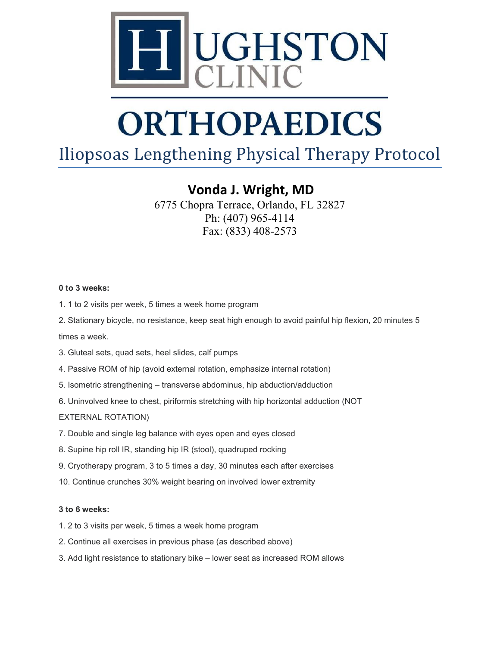

# **ORTHOPAEDICS**

### Iliopsoas Lengthening Physical Therapy Protocol

**Vonda J. Wright, MD**

6775 Chopra Terrace, Orlando, FL 32827 Ph: (407) 965-4114 Fax: (833) 408-2573

#### **0 to 3 weeks:**

- 1. 1 to 2 visits per week, 5 times a week home program
- 2. Stationary bicycle, no resistance, keep seat high enough to avoid painful hip flexion, 20 minutes 5

times a week.

- 3. Gluteal sets, quad sets, heel slides, calf pumps
- 4. Passive ROM of hip (avoid external rotation, emphasize internal rotation)
- 5. Isometric strengthening transverse abdominus, hip abduction/adduction
- 6. Uninvolved knee to chest, piriformis stretching with hip horizontal adduction (NOT

#### EXTERNAL ROTATION)

- 7. Double and single leg balance with eyes open and eyes closed
- 8. Supine hip roll IR, standing hip IR (stool), quadruped rocking
- 9. Cryotherapy program, 3 to 5 times a day, 30 minutes each after exercises
- 10. Continue crunches 30% weight bearing on involved lower extremity

#### **3 to 6 weeks:**

- 1. 2 to 3 visits per week, 5 times a week home program
- 2. Continue all exercises in previous phase (as described above)
- 3. Add light resistance to stationary bike lower seat as increased ROM allows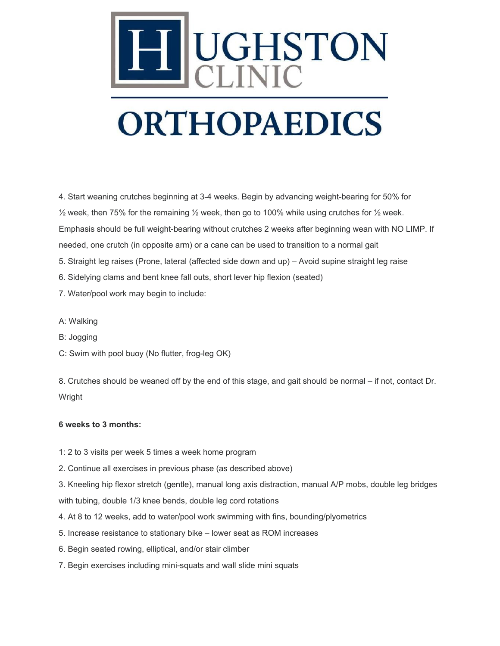

4. Start weaning crutches beginning at 3-4 weeks. Begin by advancing weight-bearing for 50% for  $\frac{1}{2}$  week, then 75% for the remaining  $\frac{1}{2}$  week, then go to 100% while using crutches for  $\frac{1}{2}$  week. Emphasis should be full weight-bearing without crutches 2 weeks after beginning wean with NO LIMP. If needed, one crutch (in opposite arm) or a cane can be used to transition to a normal gait

- 5. Straight leg raises (Prone, lateral (affected side down and up) Avoid supine straight leg raise
- 6. Sidelying clams and bent knee fall outs, short lever hip flexion (seated)
- 7. Water/pool work may begin to include:
- A: Walking
- B: Jogging
- C: Swim with pool buoy (No flutter, frog-leg OK)

8. Crutches should be weaned off by the end of this stage, and gait should be normal – if not, contact Dr. Wright

#### **6 weeks to 3 months:**

- 1: 2 to 3 visits per week 5 times a week home program
- 2. Continue all exercises in previous phase (as described above)

3. Kneeling hip flexor stretch (gentle), manual long axis distraction, manual A/P mobs, double leg bridges with tubing, double 1/3 knee bends, double leg cord rotations

- 4. At 8 to 12 weeks, add to water/pool work swimming with fins, bounding/plyometrics
- 5. Increase resistance to stationary bike lower seat as ROM increases
- 6. Begin seated rowing, elliptical, and/or stair climber
- 7. Begin exercises including mini-squats and wall slide mini squats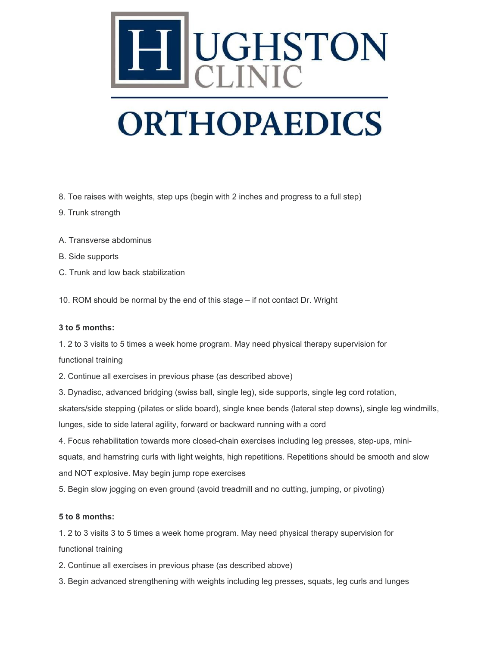

# **ORTHOPAEDICS**

8. Toe raises with weights, step ups (begin with 2 inches and progress to a full step)

- 9. Trunk strength
- A. Transverse abdominus
- B. Side supports
- C. Trunk and low back stabilization

10. ROM should be normal by the end of this stage – if not contact Dr. Wright

#### **3 to 5 months:**

1. 2 to 3 visits to 5 times a week home program. May need physical therapy supervision for functional training

2. Continue all exercises in previous phase (as described above)

3. Dynadisc, advanced bridging (swiss ball, single leg), side supports, single leg cord rotation,

skaters/side stepping (pilates or slide board), single knee bends (lateral step downs), single leg windmills,

lunges, side to side lateral agility, forward or backward running with a cord

4. Focus rehabilitation towards more closed-chain exercises including leg presses, step-ups, mini-

squats, and hamstring curls with light weights, high repetitions. Repetitions should be smooth and slow and NOT explosive. May begin jump rope exercises

5. Begin slow jogging on even ground (avoid treadmill and no cutting, jumping, or pivoting)

#### **5 to 8 months:**

1. 2 to 3 visits 3 to 5 times a week home program. May need physical therapy supervision for functional training

- 2. Continue all exercises in previous phase (as described above)
- 3. Begin advanced strengthening with weights including leg presses, squats, leg curls and lunges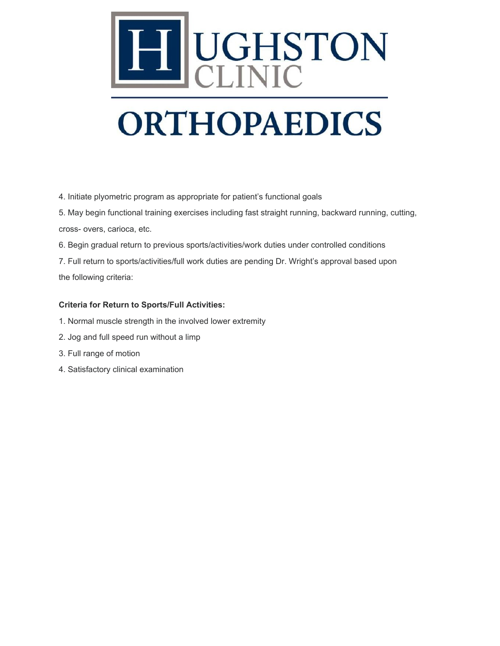

# **ORTHOPAEDICS**

4. Initiate plyometric program as appropriate for patient's functional goals

5. May begin functional training exercises including fast straight running, backward running, cutting, cross- overs, carioca, etc.

6. Begin gradual return to previous sports/activities/work duties under controlled conditions

7. Full return to sports/activities/full work duties are pending Dr. Wright's approval based upon the following criteria:

#### **Criteria for Return to Sports/Full Activities:**

- 1. Normal muscle strength in the involved lower extremity
- 2. Jog and full speed run without a limp
- 3. Full range of motion
- 4. Satisfactory clinical examination